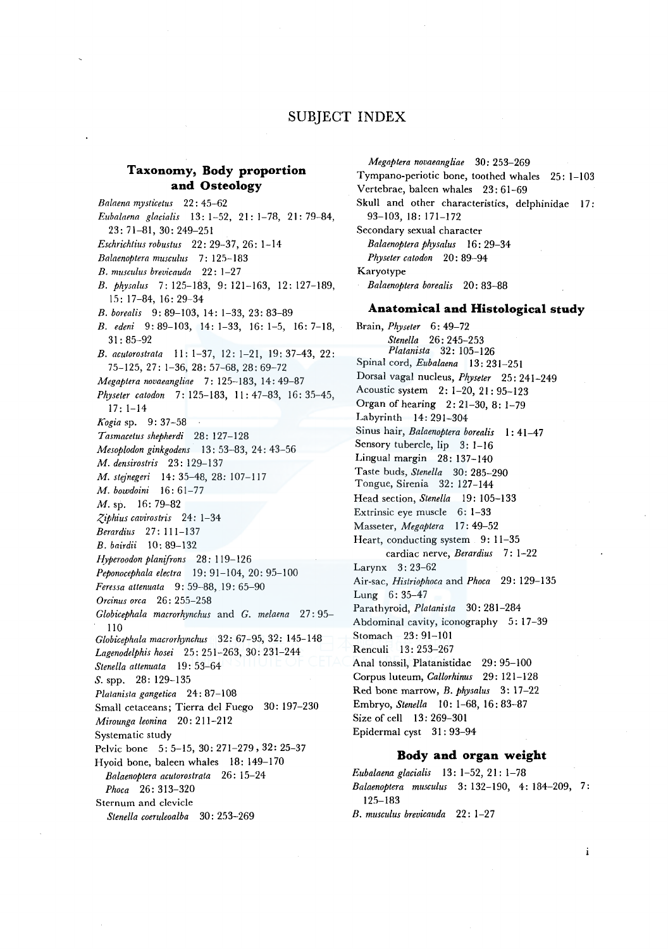# SUBJECT INDEX

# Taxonomy, Body proportion and Osteology

Balaena mysticetus 22: 45-62 Eubalaena glacialis 13: 1-52, 21: 1-78, 21: 79-84, 23: 71-81, 30: 249-251 Eschrichtius robustus 22: 29-37, 26: 1-14 Balaenoptera musculus 7: 125-183 B. musculus brevicauda 22: 1-27 B. physalus 7: 125-183, 9: 121-163, 12: 127-189,  $15: 17-84, 16: 29-34$ B. borealis 9: 89-103, 14: 1-33, 23: 83-89 B. edeni 9:89-103, 14:1-33, 16:1-5, 16:7-18,  $31:85 - 92$ B. acutorostrata 11: 1-37, 12: 1-21, 19: 37-43, 22: 75-125, 27: 1-36, 28: 57-68, 28: 69-72 Megaptera novaeangliae 7: 125-183, 14: 49-87 Physeter catodon 7: 125-183, 11: 47-83, 16: 35-45,  $17:1-14$ Kogia sp. 9: 37-58 Tasmacetus shepherdi 28: 127-128 Mesoplodon ginkgodens 13: 53-83, 24: 43-56 M. densirostris 23: 129-137 M. stejnegeri 14: 35-48, 28: 107-117 M. bowdoini 16: 61-77  $M.$  sp. 16:79-82 Ziphius cavirostris 24: 1-34 Berardius 27: 111-137 B. bairdii 10: 89-132 Hyperoodon planifrons 28: 119-126 Peponocephala electra  $19:91-104, 20:95-100$ Feressa attenuata 9: 59-88, 19: 65-90 Orcinus orca 26: 255-258 Globicephala macrorhynchus and G. melaena 27:95-110 Globicephala macrorhynchus 32: 67-95, 32: 145-148 Lagenodelphis hosei 25: 251-263, 30: 231-244 Stenella attenuata 19:53-64  $S.$ spp. 28: 129-135 Platanista gangetica 24: 87-108 Small cetaceans; Tierra del Fuego 30: 197-230 Mirounga leonina 20: 211-212 Systematic study Pelvic bone 5: 5-15, 30: 271-279, 32: 25-37 Hyoid bone, baleen whales 18: 149-170 Balaenoptera acutorostrata 26: 15-24 Phoca 26: 313-320 Sternum and clevicle Stenella coeruleoalba 30: 253-269

Megaptera novaeangliae 30: 253-269 Tympano-periotic bone, toothed whales 25: 1-103 Vertebrae, baleen whales 23: 61-69 Skull and other characteristics, delphinidae 17:  $93-103$ , 18: 171-172 Secondary sexual character Balaenoptera physalus 16: 29-34 Physeter catodon 20: 89-94 Karyotype Balaenoptera borealis 20:83-88 Anatomical and Histological study

Brain, Physeter 6: 49-72

Stenella 26: 245-253 Platanista 32: 105-126 Spinal cord, Eubalaena 13: 231-251 Dorsal vagal nucleus, Physeter 25: 241-249 Acoustic system 2: 1-20, 21: 95-123 Organ of hearing 2: 21-30, 8: 1-79 Labyrinth 14: 291-304 Sinus hair, Balaenoptera borealis 1: 41-47 Sensory tubercle, lip 3: 1-16 Lingual margin 28: 137-140 Taste buds, Stenella 30: 285-290 Tongue, Sirenia 32: 127-144 Head section, Stenella 19: 105-133 Extrinsic eye muscle 6: 1-33 Masseter, Megaptera 17: 49-52 Heart, conducting system 9: 11-35 cardiac nerve, Berardius 7: 1-22 Larynx 3: 23-62 Air-sac, Histriophoca and Phoca 29: 129-135 Lung 6:35-47 Parathyroid, Platanista 30: 281-284 Abdominal cavity, iconography 5: 17-39 Stomach - 23: 91-101 Renculi 13: 253-267 Anal tonssil, Platanistidae 29: 95-100 Corpus luteum, Callorhinus 29: 121-128 Red bone marrow, B. physalus 3: 17-22 Embryo, Stenella 10: 1-68, 16: 83-87 Size of cell 13: 269-301 Epidermal cyst 31:93-94

### Body and organ weight

Eubalaena glacialis 13: 1-52, 21: 1-78 Balaenoptera musculus 3:132-190, 4:184-209, 7: 195-183 B. musculus brevicauda 22: 1-27

 $\mathbf{i}$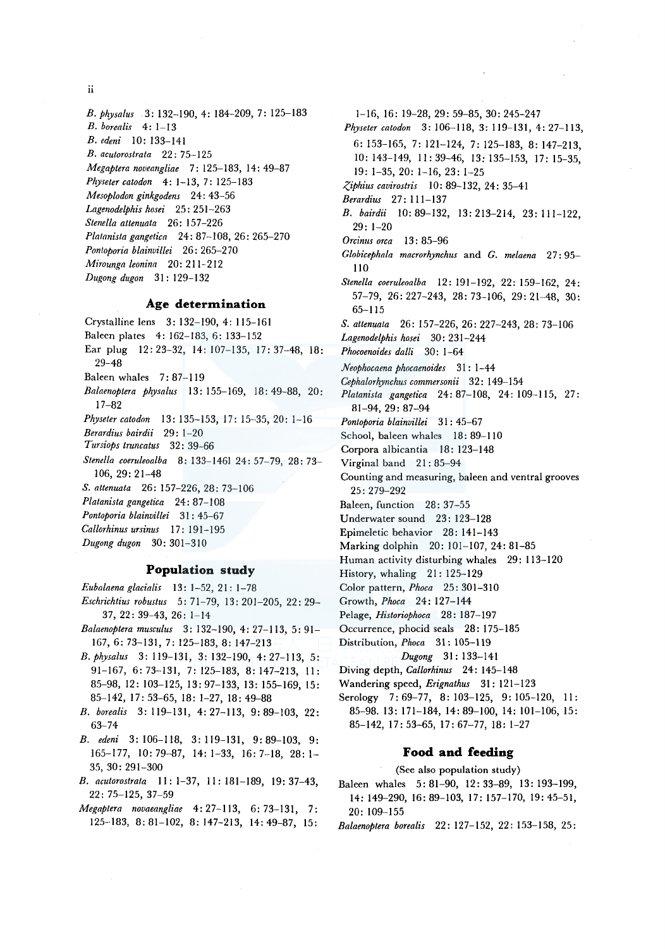**ii** 

*B. Physalus* 3: 132-190, 4: 184-209, 7: 125-183 *B. borealis* 4: 1-13 *B. edeni* 10: 133-141 *B. acutorostrata* 22: 7 5-125 *Megaptera noveangliae* 7: 125-183, 14: 49-87 *Physeter catodon* 4: 1-13, 7: 125-183 *Mesoplodon ginkgodens* 24: 43-56 *Lagenodelphis hosei* 25: 251-263 *Stenella attenuata* 26: 157-226 *Platanista gangetica* 24: 87-108, 26: 265-270 *Pontoporia blainvillei* 26: 265-270 *Mirounga leonina* 20: 211- 212 *Dugong dugon* 31: 129-132

### **Age determination**

Crystalline lens 3: 132-190, 4: 115-161 Baleen plates 4: 162-183, 6: 133-152 Ear plug 12: 23-32, 14: 107-135, 17: 37-48, 18: 29-48 Baleen whales 7: 87-119 *Balaenoptera physalus* 13: 155-169, 18: 49-88, 20: 17-82 *Physeter catodon* 13: 135-153, 17: 15-35, 20: 1-16 *Berardius bairdii* 29: 1-20 *Tursiops truncatus* 32: 39-66 *Stenella coeruleoalba* 8: 133-1461 24: 57-79, 28: 73- 106, 29: 21-48 *S. attenuata* 26: 157-226, 28: 73-106 *Platanista gangetica* 24: 87-108 *Pontoporia blainviliei* 31 : 45-67 *Callorhinus ursinus* 17: 191-195 *Dugong dugon* 30: 301-310

# **Population study**

*Eubalaena glacialis* 13: 1-52, 21 : 1-78 *Eschrichtius robustus* 5: 71-79, 13: 201-205, 22: 29-

- 37, 22: 39-43, 26: 1-14
- *Balaenoptera musculus* 3: 132-190, 4: 27-113, 5: 91- 167, 6: 73-131, 7: 125-183, 8: 147-213
- *B. physalus* 3: 119-131, 3: 132-190, 4: 27-113, 5: 91-167, 6: 73-131, 7: 125-183, 8: 147-213, II: 85-98, 12: 103-125, 13: 97-133, 13: 155-169, 15: 85-142, 17: 53-65, 18: 1-27, 18: 49-88
- *B. borealis* 3: 119-131, 4: 27-113, 9: 89-103, 22: 63-74
- *B. edeni* 3: 106-118, 3: 119-131, 9: 89-103, 9: 165-177, 10: 79-87, 14: 1-33, 16: 7-18, 28: 1- 35, 30: 291-300
- *B. acutorostrala* 11: 1-37, 11: 181-189, 19: 37-43, 22: 75-125, 37-59
- *Megaptera novaeangliae* 4: 27-113, 6: 73-131, 7: 125-183, 8: 81-102, 8: 147-213, 14: 49-87, 15:

1-16, 16: 19-28, 29: 59-85, 30: 245-247 *Physeter catodon* 3: 106-118, 3: 119-131, 4: 27-113, 6: 153-165, 7: 121-124, 7: 125-183, 8: 147-213, 10: 143-149, II: 39-46, 13: 135-153, 17: 15-35, 19: 1-35, 20: 1-16, 23: 1-25 *-?,iphius cavirostris* 10: 89-132, 24: 35-41 *Berardius* 27: 111-137 *B. bairdii* 10: 89-132, 13: 213-214, 23: 111-122, 29: 1-20 *Orcinus orca* 13 : 85-96 *Globicephala macrorhynchus* and *G. melaena* 27: 95- 110 *Stene/la coeruleoalba* 12: 191-192, 22: 159-162, 24: 57-79, 26: 227-243, 28: 73-106, 29: 21-48, 30: 65-115 *S. attenuata* 26: 157-226, 26: 227-243, 28: 73-106 *Lagenodelphis hosei* 30: 231-244 *Phocoenoides dalli* 30: 1-64 *Neophocaena phocaenoides* 31 : 1-44 *Cephalorhynchus commersonii* 32: 149-154 *Platanista gangetica* 24: 87-108, 24: 109-115, 27: 81-94, 29: 87-94 *Pontoporia blainvillei* 31 : 45-67 School, baleen whales 18: 89-110 Corpora albicantia 18: 123-148 Virginal band 21:85-94 Counting and measuring, baleen and ventral grooves 25:279-292 Baleen, function 28: 37-55 Underwater sound 23: 123-128 Epimeletic behavior 28: 141-143 Marking dolphin 20: 101-107, 24: 81-85 Human activity disturbing whales 29: 113-120 History, whaling 21: 125-129 Color pattern, *Phoca* 25: 301-310 Growth, *Phoca* 24: 127-144 Pelage, *Historiophoca* 28: 187-197 Occurrence, phocid seals 28: 175-185 Distribution, *Phoca* 31: 105-119 *Dugong* 31: 133-141 Diving depth, *Callorhinus* 24: 145-148 Wandering speed, *Erignathus* 31: 121-123 Serology 7:69-77, 8: 103-125, 9: 105-120, II: 85-98. 13: 171-184, 14: 89-100, 14: 101-106, 15: 85-142, 17: 53-65, 17: 67-77, 18: 1-27

#### **Food and feeding**

(See also population study)

- Baleen whales 5: 81-90, 12: 33-89, 13: 193-199, 14: 149-290, 16: 89-103, 17: 157-170, 19: 45-51, 20: 109-155
- *Balaenoptera borealis* 22: 127-152, 22: 153-158, 25: